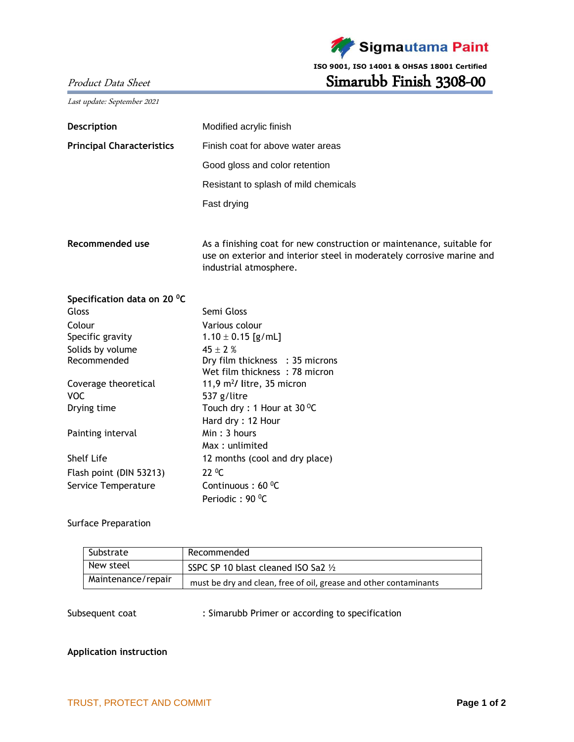

**ISO 9001, ISO 14001 & OHSAS 18001 Certified**

# Product Data Sheet Simarubb Finish 3308-00

Last update: September 2021

| Description                      | Modified acrylic finish                                                                                                                                                  |  |  |  |
|----------------------------------|--------------------------------------------------------------------------------------------------------------------------------------------------------------------------|--|--|--|
| <b>Principal Characteristics</b> | Finish coat for above water areas                                                                                                                                        |  |  |  |
|                                  | Good gloss and color retention<br>Resistant to splash of mild chemicals                                                                                                  |  |  |  |
|                                  |                                                                                                                                                                          |  |  |  |
|                                  | Fast drying                                                                                                                                                              |  |  |  |
| Recommended use                  | As a finishing coat for new construction or maintenance, suitable for<br>use on exterior and interior steel in moderately corrosive marine and<br>industrial atmosphere. |  |  |  |
| Specification data on 20 °C      |                                                                                                                                                                          |  |  |  |
| Gloss                            | Semi Gloss                                                                                                                                                               |  |  |  |
| Colour                           | Various colour                                                                                                                                                           |  |  |  |
| Specific gravity                 | $1.10 \pm 0.15$ [g/mL]                                                                                                                                                   |  |  |  |
| Solids by volume                 | $45 \pm 2$ %                                                                                                                                                             |  |  |  |
| Recommended                      | Dry film thickness : 35 microns                                                                                                                                          |  |  |  |
|                                  | Wet film thickness: 78 micron                                                                                                                                            |  |  |  |
| Coverage theoretical             | 11,9 $m^2$ / litre, 35 micron                                                                                                                                            |  |  |  |
| <b>VOC</b>                       | 537 g/litre                                                                                                                                                              |  |  |  |
| Drying time                      | Touch dry : 1 Hour at $30^{\circ}$ C                                                                                                                                     |  |  |  |
|                                  | Hard dry: 12 Hour                                                                                                                                                        |  |  |  |
| Painting interval                | Min: 3 hours                                                                                                                                                             |  |  |  |
|                                  | Max: unlimited                                                                                                                                                           |  |  |  |
| <b>Shelf Life</b>                | 12 months (cool and dry place)                                                                                                                                           |  |  |  |
| Flash point (DIN 53213)          | $22^{\circ}$ C                                                                                                                                                           |  |  |  |
| Service Temperature              | Continuous: 60 °C                                                                                                                                                        |  |  |  |
|                                  | Periodic: 90 °C                                                                                                                                                          |  |  |  |

## Surface Preparation

| Substrate          | Recommended                                                       |
|--------------------|-------------------------------------------------------------------|
| New steel          | SSPC SP 10 blast cleaned ISO Sa2 $\frac{1}{2}$                    |
| Maintenance/repair | must be dry and clean, free of oil, grease and other contaminants |

Subsequent coat : Simarubb Primer or according to specification

## **Application instruction**